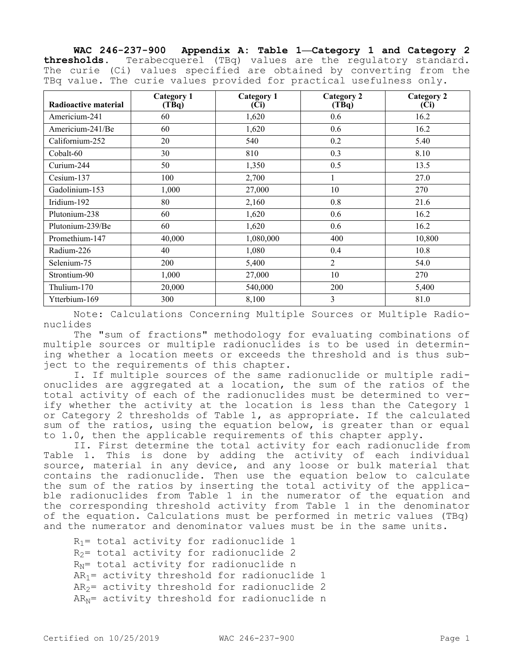**WAC 246-237-900 Appendix A: Table 1—Category 1 and Category 2 thresholds.** Terabecquerel (TBq) values are the regulatory standard. The curie (Ci) values specified are obtained by converting from the TBq value. The curie values provided for practical usefulness only.

| Radioactive material | Category 1<br>$(T\bar{B}q)$ | <b>Category 1</b><br>(Ci) | <b>Category 2</b><br>$(T\bar{B}q)$ | <b>Category 2</b><br>(Ci) |
|----------------------|-----------------------------|---------------------------|------------------------------------|---------------------------|
| Americium-241        | 60                          | 1,620                     | 0.6                                | 16.2                      |
| Americium-241/Be     | 60                          | 1,620                     | 0.6                                | 16.2                      |
| Californium-252      | 20                          | 540                       | 0.2                                | 5.40                      |
| Cobalt-60            | 30                          | 810                       | 0.3                                | 8.10                      |
| Curium-244           | 50                          | 1,350                     | 0.5                                | 13.5                      |
| Cesium-137           | 100                         | 2,700                     | 1                                  | 27.0                      |
| Gadolinium-153       | 1,000                       | 27,000                    | 10                                 | 270                       |
| Iridium-192          | 80                          | 2,160                     | 0.8                                | 21.6                      |
| Plutonium-238        | 60                          | 1,620                     | 0.6                                | 16.2                      |
| Plutonium-239/Be     | 60                          | 1,620                     | 0.6                                | 16.2                      |
| Promethium-147       | 40,000                      | 1,080,000                 | 400                                | 10,800                    |
| Radium-226           | 40                          | 1,080                     | 0.4                                | 10.8                      |
| Selenium-75          | 200                         | 5,400                     | $\overline{2}$                     | 54.0                      |
| Strontium-90         | 1,000                       | 27,000                    | 10                                 | 270                       |
| Thulium-170          | 20,000                      | 540,000                   | <b>200</b>                         | 5,400                     |
| Ytterbium-169        | 300                         | 8,100                     | $\overline{3}$                     | 81.0                      |

Note: Calculations Concerning Multiple Sources or Multiple Radionuclides

The "sum of fractions" methodology for evaluating combinations of multiple sources or multiple radionuclides is to be used in determining whether a location meets or exceeds the threshold and is thus subject to the requirements of this chapter.

I. If multiple sources of the same radionuclide or multiple radionuclides are aggregated at a location, the sum of the ratios of the total activity of each of the radionuclides must be determined to verify whether the activity at the location is less than the Category 1 or Category 2 thresholds of Table 1, as appropriate. If the calculated sum of the ratios, using the equation below, is greater than or equal to 1.0, then the applicable requirements of this chapter apply.

II. First determine the total activity for each radionuclide from Table 1. This is done by adding the activity of each individual source, material in any device, and any loose or bulk material that contains the radionuclide. Then use the equation below to calculate the sum of the ratios by inserting the total activity of the applicable radionuclides from Table 1 in the numerator of the equation and the corresponding threshold activity from Table 1 in the denominator of the equation. Calculations must be performed in metric values (TBq) and the numerator and denominator values must be in the same units.

```
R_1= total activity for radionuclide 1
R<sub>2</sub> total activity for radionuclide 2
R_N= total activity for radionuclide n
AR_1= activity threshold for radionuclide 1
AR<sub>2</sub> activity threshold for radionuclide 2
AR<sub>N</sub>= activity threshold for radionuclide n
```